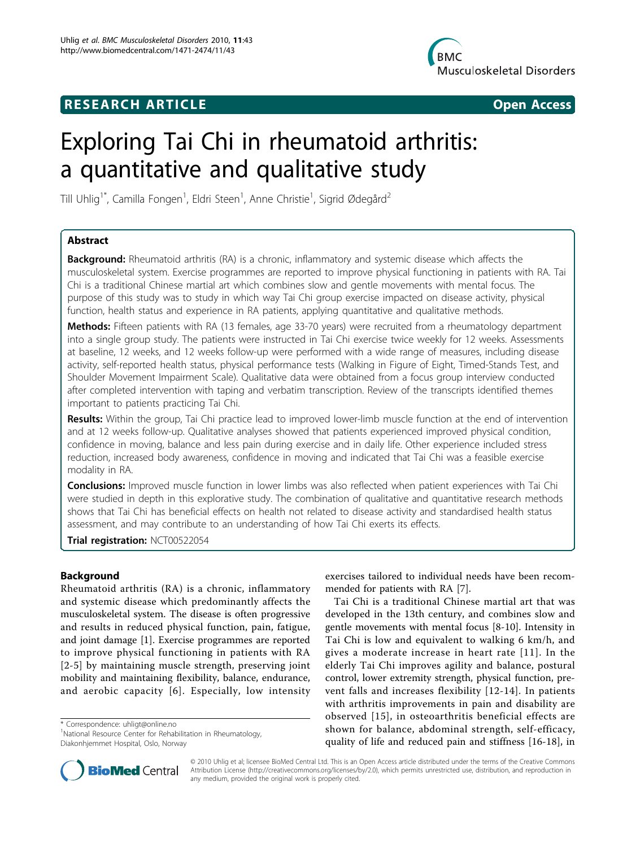# **RESEARCH ARTICLE Example 2014 CONSUMING ACCESS**



# Exploring Tai Chi in rheumatoid arthritis: a quantitative and qualitative study

Till Uhlig<sup>1\*</sup>, Camilla Fongen<sup>1</sup>, Eldri Steen<sup>1</sup>, Anne Christie<sup>1</sup>, Sigrid Ødegård<sup>2</sup>

# Abstract

**Background:** Rheumatoid arthritis (RA) is a chronic, inflammatory and systemic disease which affects the musculoskeletal system. Exercise programmes are reported to improve physical functioning in patients with RA. Tai Chi is a traditional Chinese martial art which combines slow and gentle movements with mental focus. The purpose of this study was to study in which way Tai Chi group exercise impacted on disease activity, physical function, health status and experience in RA patients, applying quantitative and qualitative methods.

Methods: Fifteen patients with RA (13 females, age 33-70 years) were recruited from a rheumatology department into a single group study. The patients were instructed in Tai Chi exercise twice weekly for 12 weeks. Assessments at baseline, 12 weeks, and 12 weeks follow-up were performed with a wide range of measures, including disease activity, self-reported health status, physical performance tests (Walking in Figure of Eight, Timed-Stands Test, and Shoulder Movement Impairment Scale). Qualitative data were obtained from a focus group interview conducted after completed intervention with taping and verbatim transcription. Review of the transcripts identified themes important to patients practicing Tai Chi.

Results: Within the group, Tai Chi practice lead to improved lower-limb muscle function at the end of intervention and at 12 weeks follow-up. Qualitative analyses showed that patients experienced improved physical condition, confidence in moving, balance and less pain during exercise and in daily life. Other experience included stress reduction, increased body awareness, confidence in moving and indicated that Tai Chi was a feasible exercise modality in RA.

**Conclusions:** Improved muscle function in lower limbs was also reflected when patient experiences with Tai Chi were studied in depth in this explorative study. The combination of qualitative and quantitative research methods shows that Tai Chi has beneficial effects on health not related to disease activity and standardised health status assessment, and may contribute to an understanding of how Tai Chi exerts its effects.

Trial registration: NCT00522054

# Background

Rheumatoid arthritis (RA) is a chronic, inflammatory and systemic disease which predominantly affects the musculoskeletal system. The disease is often progressive and results in reduced physical function, pain, fatigue, and joint damage [[1\]](#page-5-0). Exercise programmes are reported to improve physical functioning in patients with RA [[2](#page-5-0)-[5](#page-6-0)] by maintaining muscle strength, preserving joint mobility and maintaining flexibility, balance, endurance, and aerobic capacity [[6](#page-6-0)]. Especially, low intensity

\* Correspondence: [uhligt@online.no](mailto:uhligt@online.no)

<sup>1</sup>National Resource Center for Rehabilitation in Rheumatology, Diakonhjemmet Hospital, Oslo, Norway

exercises tailored to individual needs have been recommended for patients with RA [\[7\]](#page-6-0).

Tai Chi is a traditional Chinese martial art that was developed in the 13th century, and combines slow and gentle movements with mental focus [\[8](#page-6-0)-[10\]](#page-6-0). Intensity in Tai Chi is low and equivalent to walking 6 km/h, and gives a moderate increase in heart rate [[11](#page-6-0)]. In the elderly Tai Chi improves agility and balance, postural control, lower extremity strength, physical function, prevent falls and increases flexibility [[12](#page-6-0)-[14](#page-6-0)]. In patients with arthritis improvements in pain and disability are observed [[15\]](#page-6-0), in osteoarthritis beneficial effects are shown for balance, abdominal strength, self-efficacy, quality of life and reduced pain and stiffness [\[16](#page-6-0)-[18\]](#page-6-0), in



© 2010 Uhlig et al; licensee BioMed Central Ltd. This is an Open Access article distributed under the terms of the Creative Commons Attribution License [\(http://creativecommons.org/licenses/by/2.0](http://creativecommons.org/licenses/by/2.0)), which permits unrestricted use, distribution, and reproduction in any medium, provided the original work is properly cited.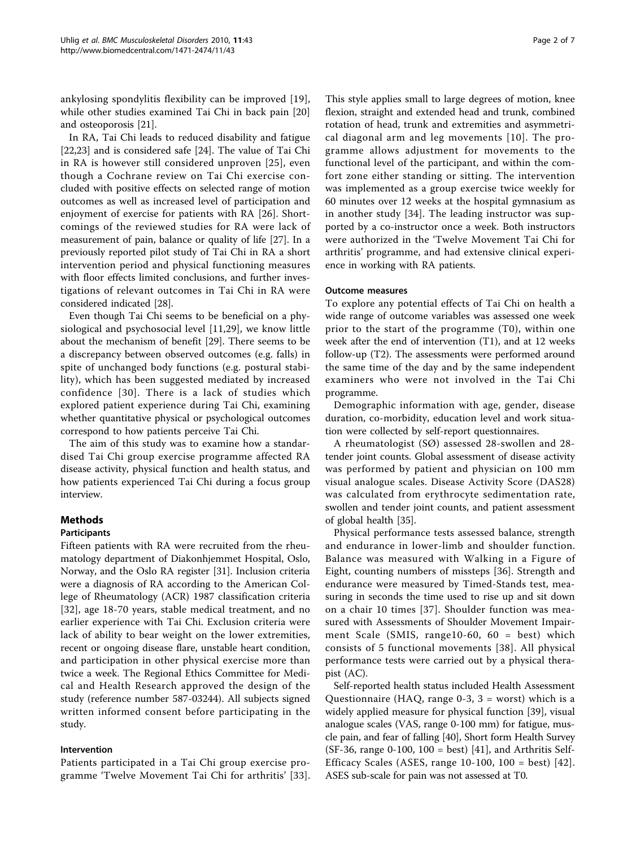ankylosing spondylitis flexibility can be improved [[19](#page-6-0)], while other studies examined Tai Chi in back pain [\[20](#page-6-0)] and osteoporosis [[21\]](#page-6-0).

In RA, Tai Chi leads to reduced disability and fatigue [[22,23\]](#page-6-0) and is considered safe [\[24](#page-6-0)]. The value of Tai Chi in RA is however still considered unproven [[25\]](#page-6-0), even though a Cochrane review on Tai Chi exercise concluded with positive effects on selected range of motion outcomes as well as increased level of participation and enjoyment of exercise for patients with RA [\[26](#page-6-0)]. Shortcomings of the reviewed studies for RA were lack of measurement of pain, balance or quality of life [[27\]](#page-6-0). In a previously reported pilot study of Tai Chi in RA a short intervention period and physical functioning measures with floor effects limited conclusions, and further investigations of relevant outcomes in Tai Chi in RA were considered indicated [\[28](#page-6-0)].

Even though Tai Chi seems to be beneficial on a physiological and psychosocial level [\[11](#page-6-0),[29\]](#page-6-0), we know little about the mechanism of benefit [\[29](#page-6-0)]. There seems to be a discrepancy between observed outcomes (e.g. falls) in spite of unchanged body functions (e.g. postural stability), which has been suggested mediated by increased confidence [[30](#page-6-0)]. There is a lack of studies which explored patient experience during Tai Chi, examining whether quantitative physical or psychological outcomes correspond to how patients perceive Tai Chi.

The aim of this study was to examine how a standardised Tai Chi group exercise programme affected RA disease activity, physical function and health status, and how patients experienced Tai Chi during a focus group interview.

# Methods

# **Participants**

Fifteen patients with RA were recruited from the rheumatology department of Diakonhjemmet Hospital, Oslo, Norway, and the Oslo RA register [[31\]](#page-6-0). Inclusion criteria were a diagnosis of RA according to the American College of Rheumatology (ACR) 1987 classification criteria [[32](#page-6-0)], age 18-70 years, stable medical treatment, and no earlier experience with Tai Chi. Exclusion criteria were lack of ability to bear weight on the lower extremities, recent or ongoing disease flare, unstable heart condition, and participation in other physical exercise more than twice a week. The Regional Ethics Committee for Medical and Health Research approved the design of the study (reference number 587-03244). All subjects signed written informed consent before participating in the study.

#### Intervention

Patients participated in a Tai Chi group exercise programme 'Twelve Movement Tai Chi for arthritis' [[33](#page-6-0)]. This style applies small to large degrees of motion, knee flexion, straight and extended head and trunk, combined rotation of head, trunk and extremities and asymmetrical diagonal arm and leg movements [[10\]](#page-6-0). The programme allows adjustment for movements to the functional level of the participant, and within the comfort zone either standing or sitting. The intervention was implemented as a group exercise twice weekly for 60 minutes over 12 weeks at the hospital gymnasium as in another study [\[34](#page-6-0)]. The leading instructor was supported by a co-instructor once a week. Both instructors were authorized in the 'Twelve Movement Tai Chi for arthritis' programme, and had extensive clinical experience in working with RA patients.

#### Outcome measures

To explore any potential effects of Tai Chi on health a wide range of outcome variables was assessed one week prior to the start of the programme (T0), within one week after the end of intervention (T1), and at 12 weeks follow-up (T2). The assessments were performed around the same time of the day and by the same independent examiners who were not involved in the Tai Chi programme.

Demographic information with age, gender, disease duration, co-morbidity, education level and work situation were collected by self-report questionnaires.

A rheumatologist (SØ) assessed 28-swollen and 28 tender joint counts. Global assessment of disease activity was performed by patient and physician on 100 mm visual analogue scales. Disease Activity Score (DAS28) was calculated from erythrocyte sedimentation rate, swollen and tender joint counts, and patient assessment of global health [[35\]](#page-6-0).

Physical performance tests assessed balance, strength and endurance in lower-limb and shoulder function. Balance was measured with Walking in a Figure of Eight, counting numbers of missteps [[36\]](#page-6-0). Strength and endurance were measured by Timed-Stands test, measuring in seconds the time used to rise up and sit down on a chair 10 times [[37\]](#page-6-0). Shoulder function was measured with Assessments of Shoulder Movement Impairment Scale (SMIS, range10-60, 60 = best) which consists of 5 functional movements [[38](#page-6-0)]. All physical performance tests were carried out by a physical therapist (AC).

Self-reported health status included Health Assessment Questionnaire (HAQ, range 0-3, 3 = worst) which is a widely applied measure for physical function [[39\]](#page-6-0), visual analogue scales (VAS, range 0-100 mm) for fatigue, muscle pain, and fear of falling [\[40\]](#page-6-0), Short form Health Survey  $(SF-36, \text{ range } 0-100, 100 = \text{best})$  [[41\]](#page-6-0), and Arthritis Self-Efficacy Scales (ASES, range 10-100, 100 = best) [[42\]](#page-6-0). ASES sub-scale for pain was not assessed at T0.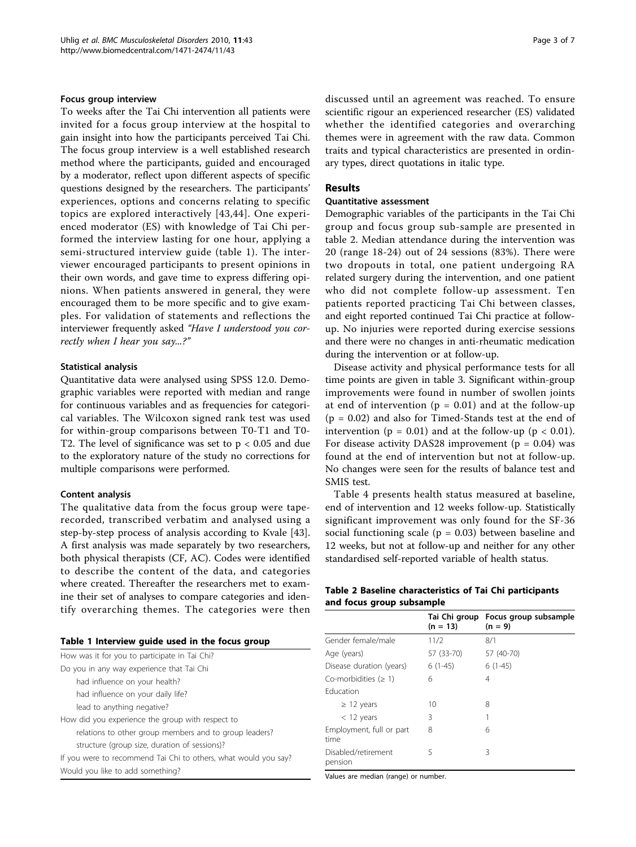#### <span id="page-2-0"></span>Focus group interview

To weeks after the Tai Chi intervention all patients were invited for a focus group interview at the hospital to gain insight into how the participants perceived Tai Chi. The focus group interview is a well established research method where the participants, guided and encouraged by a moderator, reflect upon different aspects of specific questions designed by the researchers. The participants' experiences, options and concerns relating to specific topics are explored interactively [[43,44\]](#page-6-0). One experienced moderator (ES) with knowledge of Tai Chi performed the interview lasting for one hour, applying a semi-structured interview guide (table 1). The interviewer encouraged participants to present opinions in their own words, and gave time to express differing opinions. When patients answered in general, they were encouraged them to be more specific and to give examples. For validation of statements and reflections the interviewer frequently asked "Have I understood you correctly when I hear you say...?"

#### Statistical analysis

Quantitative data were analysed using SPSS 12.0. Demographic variables were reported with median and range for continuous variables and as frequencies for categorical variables. The Wilcoxon signed rank test was used for within-group comparisons between T0-T1 and T0- T2. The level of significance was set to  $p < 0.05$  and due to the exploratory nature of the study no corrections for multiple comparisons were performed.

#### Content analysis

The qualitative data from the focus group were taperecorded, transcribed verbatim and analysed using a step-by-step process of analysis according to Kvale [\[43](#page-6-0)]. A first analysis was made separately by two researchers, both physical therapists (CF, AC). Codes were identified to describe the content of the data, and categories where created. Thereafter the researchers met to examine their set of analyses to compare categories and identify overarching themes. The categories were then

| Table 1 Interview guide used in the focus group                                                                  | Gender female/ma              |  |  |
|------------------------------------------------------------------------------------------------------------------|-------------------------------|--|--|
| How was it for you to participate in Tai Chi?                                                                    | Age (years)                   |  |  |
| Do you in any way experience that Tai Chi                                                                        | Disease duration (            |  |  |
| had influence on your health?                                                                                    | Co-morbidities $($            |  |  |
| had influence on your daily life?                                                                                | <b>Education</b>              |  |  |
| lead to anything negative?                                                                                       | $\geq$ 12 years               |  |  |
| How did you experience the group with respect to                                                                 | $<$ 12 years                  |  |  |
| relations to other group members and to group leaders?                                                           | Employment, full o<br>time    |  |  |
| structure (group size, duration of sessions)?<br>If you were to recommend Tai Chi to others, what would you say? | Disabled/retiremer<br>pension |  |  |
| Would you like to add something?                                                                                 | Values are median (           |  |  |

discussed until an agreement was reached. To ensure scientific rigour an experienced researcher (ES) validated whether the identified categories and overarching themes were in agreement with the raw data. Common traits and typical characteristics are presented in ordinary types, direct quotations in italic type.

## Results

#### Quantitative assessment

Demographic variables of the participants in the Tai Chi group and focus group sub-sample are presented in table 2. Median attendance during the intervention was 20 (range 18-24) out of 24 sessions (83%). There were two dropouts in total, one patient undergoing RA related surgery during the intervention, and one patient who did not complete follow-up assessment. Ten patients reported practicing Tai Chi between classes, and eight reported continued Tai Chi practice at followup. No injuries were reported during exercise sessions and there were no changes in anti-rheumatic medication during the intervention or at follow-up.

Disease activity and physical performance tests for all time points are given in table [3.](#page-3-0) Significant within-group improvements were found in number of swollen joints at end of intervention ( $p = 0.01$ ) and at the follow-up  $(p = 0.02)$  and also for Timed-Stands test at the end of intervention ( $p = 0.01$ ) and at the follow-up ( $p < 0.01$ ). For disease activity DAS28 improvement ( $p = 0.04$ ) was found at the end of intervention but not at follow-up. No changes were seen for the results of balance test and SMIS test.

Table [4](#page-3-0) presents health status measured at baseline, end of intervention and 12 weeks follow-up. Statistically significant improvement was only found for the SF-36 social functioning scale ( $p = 0.03$ ) between baseline and 12 weeks, but not at follow-up and neither for any other standardised self-reported variable of health status.

## Table 2 Baseline characteristics of Tai Chi participants and focus group subsample

|                                  | $(n = 13)$ | Tai Chi group Focus group subsample<br>$(n = 9)$ |
|----------------------------------|------------|--------------------------------------------------|
| Gender female/male               | 11/2       | 8/1                                              |
| Age (years)                      | 57 (33-70) | 57 (40-70)                                       |
| Disease duration (years)         | $6(1-45)$  | $6(1-45)$                                        |
| Co-morbidities $( \geq 1)$       | 6          | 4                                                |
| <b>Education</b>                 |            |                                                  |
| $\geq$ 12 years                  | 10         | 8                                                |
| $<$ 12 years                     | 3          | 1                                                |
| Employment, full or part<br>time | 8          | 6                                                |
| Disabled/retirement<br>pension   | 5          | 3                                                |

(range) or number.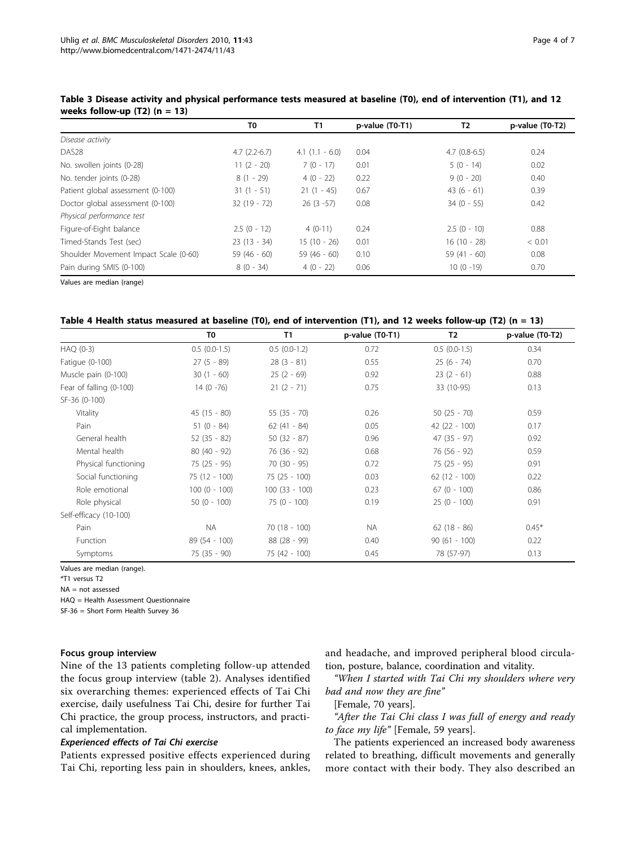|                                       | T0             | T1               | p-value (T0-T1) | T <sub>2</sub> | p-value (T0-T2) |
|---------------------------------------|----------------|------------------|-----------------|----------------|-----------------|
| Disease activity                      |                |                  |                 |                |                 |
| DAS <sub>28</sub>                     | $4.7(2.2-6.7)$ | $4.1(1.1 - 6.0)$ | 0.04            | $4.7(0.8-6.5)$ | 0.24            |
| No. swollen joints (0-28)             | $11(2 - 20)$   | $7(0 - 17)$      | 0.01            | $5(0 - 14)$    | 0.02            |
| No. tender joints (0-28)              | $8(1 - 29)$    | $4(0 - 22)$      | 0.22            | $9(0 - 20)$    | 0.40            |
| Patient global assessment (0-100)     | $31(1 - 51)$   | $21(1 - 45)$     | 0.67            | $43(6 - 61)$   | 0.39            |
| Doctor global assessment (0-100)      | $32(19 - 72)$  | $26(3 - 57)$     | 0.08            | $34(0 - 55)$   | 0.42            |
| Physical performance test             |                |                  |                 |                |                 |
| Figure-of-Eight balance               | $2.5(0 - 12)$  | $4(0-11)$        | 0.24            | $2.5(0 - 10)$  | 0.88            |
| Timed-Stands Test (sec)               | $23(13 - 34)$  | $15(10 - 26)$    | 0.01            | $16(10 - 28)$  | < 0.01          |
| Shoulder Movement Impact Scale (0-60) | $59(46 - 60)$  | $59(46-60)$      | 0.10            | 59 $(41 - 60)$ | 0.08            |
| Pain during SMIS (0-100)              | $8(0 - 34)$    | $4(0 - 22)$      | 0.06            | $10(0 - 19)$   | 0.70            |

<span id="page-3-0"></span>Table 3 Disease activity and physical performance tests measured at baseline (T0), end of intervention (T1), and 12 weeks follow-up  $(T2)$  (n = 13)

Values are median (range)

|                         | T <sub>0</sub>  | T1              | p-value (T0-T1) | T <sub>2</sub> | p-value (T0-T2) |
|-------------------------|-----------------|-----------------|-----------------|----------------|-----------------|
| $HAQ$ (0-3)             | $0.5(0.0-1.5)$  | $0.5(0.0-1.2)$  | 0.72            | $0.5(0.0-1.5)$ | 0.34            |
| Fatigue (0-100)         | $27(5 - 89)$    | $28(3 - 81)$    | 0.55            | $25(6 - 74)$   | 0.70            |
| Muscle pain (0-100)     | $30(1 - 60)$    | $25(2 - 69)$    | 0.92            | $23(2 - 61)$   | 0.88            |
| Fear of falling (0-100) | $14(0 - 76)$    | $21(2 - 71)$    | 0.75            | 33 (10-95)     | 0.13            |
| SF-36 (0-100)           |                 |                 |                 |                |                 |
| Vitality                | $45(15 - 80)$   | $55(35 - 70)$   | 0.26            | $50(25 - 70)$  | 0.59            |
| Pain                    | $51(0 - 84)$    | $62(41 - 84)$   | 0.05            | $42(22 - 100)$ | 0.17            |
| General health          | $52(35 - 82)$   | $50(32 - 87)$   | 0.96            | $47(35 - 97)$  | 0.92            |
| Mental health           | $80(40 - 92)$   | 76 (36 - 92)    | 0.68            | 76 (56 - 92)   | 0.59            |
| Physical functioning    | 75 (25 - 95)    | $70(30 - 95)$   | 0.72            | 75 (25 - 95)   | 0.91            |
| Social functioning      | 75 (12 - 100)   | 75 (25 - 100)   | 0.03            | $62(12 - 100)$ | 0.22            |
| Role emotional          | $100 (0 - 100)$ | $100(33 - 100)$ | 0.23            | $67(0 - 100)$  | 0.86            |
| Role physical           | $50(0 - 100)$   | $75(0 - 100)$   | 0.19            | $25(0 - 100)$  | 0.91            |
| Self-efficacy (10-100)  |                 |                 |                 |                |                 |
| Pain                    | <b>NA</b>       | 70 (18 - 100)   | NA.             | $62(18 - 86)$  | $0.45*$         |
| Function                | 89 (54 - 100)   | 88 (28 - 99)    | 0.40            | $90(61 - 100)$ | 0.22            |
| Symptoms                | 75 (35 - 90)    | 75 (42 - 100)   | 0.45            | 78 (57-97)     | 0.13            |

Values are median (range).

\*T1 versus T2

NA = not assessed

HAQ = Health Assessment Questionnaire

SF-36 = Short Form Health Survey 36

#### Focus group interview

Nine of the 13 patients completing follow-up attended the focus group interview (table [2\)](#page-2-0). Analyses identified six overarching themes: experienced effects of Tai Chi exercise, daily usefulness Tai Chi, desire for further Tai Chi practice, the group process, instructors, and practical implementation.

#### Experienced effects of Tai Chi exercise

Patients expressed positive effects experienced during Tai Chi, reporting less pain in shoulders, knees, ankles, and headache, and improved peripheral blood circulation, posture, balance, coordination and vitality.

"When I started with Tai Chi my shoulders where very bad and now they are fine"

[Female, 70 years].

"After the Tai Chi class I was full of energy and ready to face my life" [Female, 59 years].

The patients experienced an increased body awareness related to breathing, difficult movements and generally more contact with their body. They also described an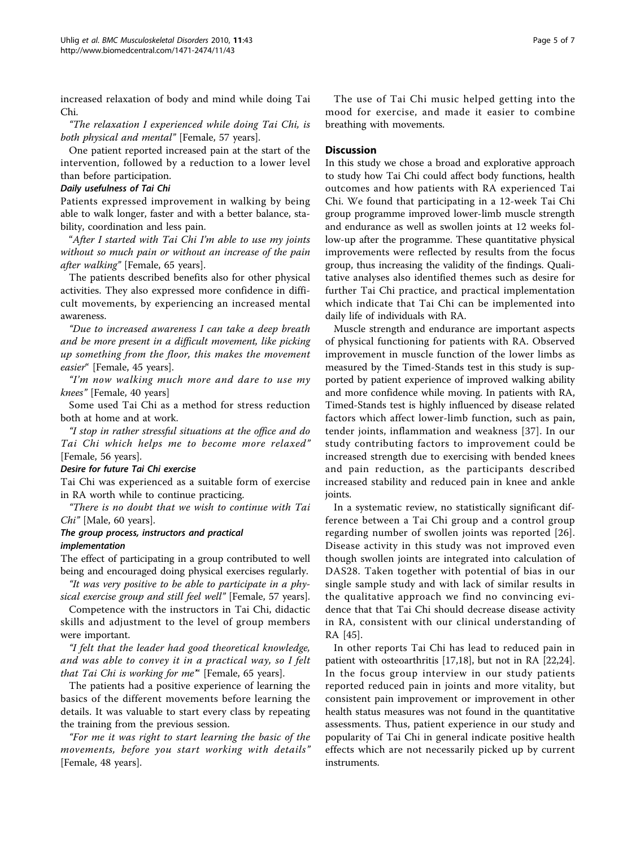increased relaxation of body and mind while doing Tai Chi.

"The relaxation I experienced while doing Tai Chi, is both physical and mental" [Female, 57 years].

One patient reported increased pain at the start of the intervention, followed by a reduction to a lower level than before participation.

#### Daily usefulness of Tai Chi

Patients expressed improvement in walking by being able to walk longer, faster and with a better balance, stability, coordination and less pain.

"After I started with Tai Chi I'm able to use my joints without so much pain or without an increase of the pain after walking" [Female, 65 years].

The patients described benefits also for other physical activities. They also expressed more confidence in difficult movements, by experiencing an increased mental awareness.

"Due to increased awareness I can take a deep breath and be more present in a difficult movement, like picking up something from the floor, this makes the movement easier" [Female, 45 years].

"I'm now walking much more and dare to use my knees" [Female, 40 years]

Some used Tai Chi as a method for stress reduction both at home and at work.

"I stop in rather stressful situations at the office and do Tai Chi which helps me to become more relaxed" [Female, 56 years].

#### Desire for future Tai Chi exercise

Tai Chi was experienced as a suitable form of exercise in RA worth while to continue practicing.

"There is no doubt that we wish to continue with Tai Chi" [Male, 60 years].

# The group process, instructors and practical

implementation

The effect of participating in a group contributed to well being and encouraged doing physical exercises regularly.

"It was very positive to be able to participate in a physical exercise group and still feel well" [Female, 57 years].

Competence with the instructors in Tai Chi, didactic skills and adjustment to the level of group members were important.

"I felt that the leader had good theoretical knowledge, and was able to convey it in a practical way, so I felt that Tai Chi is working for me<sup>\*\*</sup> [Female, 65 years].

The patients had a positive experience of learning the basics of the different movements before learning the details. It was valuable to start every class by repeating the training from the previous session.

"For me it was right to start learning the basic of the movements, before you start working with details" [Female, 48 years].

The use of Tai Chi music helped getting into the mood for exercise, and made it easier to combine breathing with movements.

## **Discussion**

In this study we chose a broad and explorative approach to study how Tai Chi could affect body functions, health outcomes and how patients with RA experienced Tai Chi. We found that participating in a 12-week Tai Chi group programme improved lower-limb muscle strength and endurance as well as swollen joints at 12 weeks follow-up after the programme. These quantitative physical improvements were reflected by results from the focus group, thus increasing the validity of the findings. Qualitative analyses also identified themes such as desire for further Tai Chi practice, and practical implementation which indicate that Tai Chi can be implemented into daily life of individuals with RA.

Muscle strength and endurance are important aspects of physical functioning for patients with RA. Observed improvement in muscle function of the lower limbs as measured by the Timed-Stands test in this study is supported by patient experience of improved walking ability and more confidence while moving. In patients with RA, Timed-Stands test is highly influenced by disease related factors which affect lower-limb function, such as pain, tender joints, inflammation and weakness [[37](#page-6-0)]. In our study contributing factors to improvement could be increased strength due to exercising with bended knees and pain reduction, as the participants described increased stability and reduced pain in knee and ankle joints.

In a systematic review, no statistically significant difference between a Tai Chi group and a control group regarding number of swollen joints was reported [[26](#page-6-0)]. Disease activity in this study was not improved even though swollen joints are integrated into calculation of DAS28. Taken together with potential of bias in our single sample study and with lack of similar results in the qualitative approach we find no convincing evidence that that Tai Chi should decrease disease activity in RA, consistent with our clinical understanding of RA [[45](#page-6-0)].

In other reports Tai Chi has lead to reduced pain in patient with osteoarthritis [\[17,18\]](#page-6-0), but not in RA [[22](#page-6-0),[24](#page-6-0)]. In the focus group interview in our study patients reported reduced pain in joints and more vitality, but consistent pain improvement or improvement in other health status measures was not found in the quantitative assessments. Thus, patient experience in our study and popularity of Tai Chi in general indicate positive health effects which are not necessarily picked up by current instruments.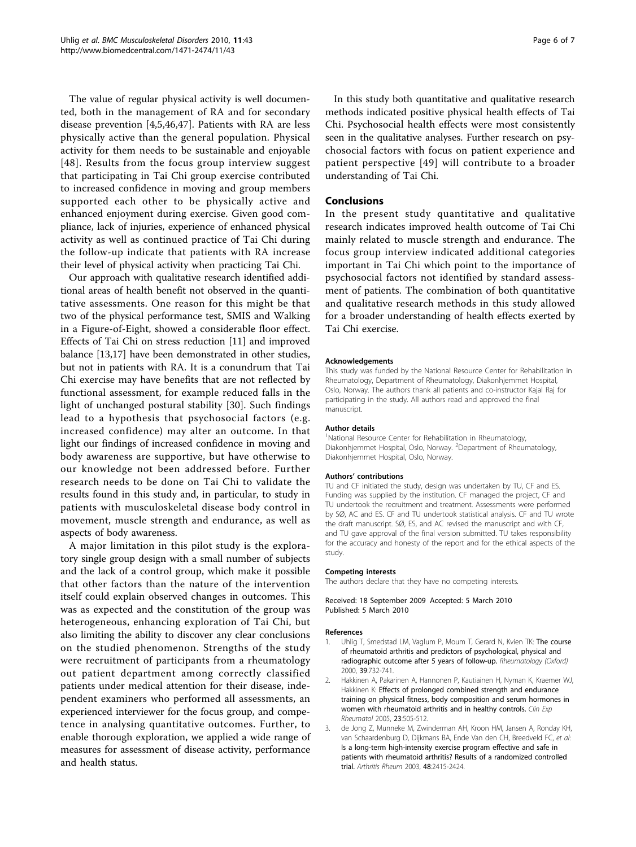<span id="page-5-0"></span>The value of regular physical activity is well documented, both in the management of RA and for secondary disease prevention [\[4,5](#page-6-0),[46,47\]](#page-6-0). Patients with RA are less physically active than the general population. Physical activity for them needs to be sustainable and enjoyable [[48\]](#page-6-0). Results from the focus group interview suggest that participating in Tai Chi group exercise contributed to increased confidence in moving and group members supported each other to be physically active and enhanced enjoyment during exercise. Given good compliance, lack of injuries, experience of enhanced physical activity as well as continued practice of Tai Chi during the follow-up indicate that patients with RA increase their level of physical activity when practicing Tai Chi.

Our approach with qualitative research identified additional areas of health benefit not observed in the quantitative assessments. One reason for this might be that two of the physical performance test, SMIS and Walking in a Figure-of-Eight, showed a considerable floor effect. Effects of Tai Chi on stress reduction [\[11](#page-6-0)] and improved balance [[13,17](#page-6-0)] have been demonstrated in other studies, but not in patients with RA. It is a conundrum that Tai Chi exercise may have benefits that are not reflected by functional assessment, for example reduced falls in the light of unchanged postural stability [[30](#page-6-0)]. Such findings lead to a hypothesis that psychosocial factors (e.g. increased confidence) may alter an outcome. In that light our findings of increased confidence in moving and body awareness are supportive, but have otherwise to our knowledge not been addressed before. Further research needs to be done on Tai Chi to validate the results found in this study and, in particular, to study in patients with musculoskeletal disease body control in movement, muscle strength and endurance, as well as aspects of body awareness.

A major limitation in this pilot study is the exploratory single group design with a small number of subjects and the lack of a control group, which make it possible that other factors than the nature of the intervention itself could explain observed changes in outcomes. This was as expected and the constitution of the group was heterogeneous, enhancing exploration of Tai Chi, but also limiting the ability to discover any clear conclusions on the studied phenomenon. Strengths of the study were recruitment of participants from a rheumatology out patient department among correctly classified patients under medical attention for their disease, independent examiners who performed all assessments, an experienced interviewer for the focus group, and competence in analysing quantitative outcomes. Further, to enable thorough exploration, we applied a wide range of measures for assessment of disease activity, performance and health status.

In this study both quantitative and qualitative research methods indicated positive physical health effects of Tai Chi. Psychosocial health effects were most consistently seen in the qualitative analyses. Further research on psychosocial factors with focus on patient experience and patient perspective [[49\]](#page-6-0) will contribute to a broader understanding of Tai Chi.

## Conclusions

In the present study quantitative and qualitative research indicates improved health outcome of Tai Chi mainly related to muscle strength and endurance. The focus group interview indicated additional categories important in Tai Chi which point to the importance of psychosocial factors not identified by standard assessment of patients. The combination of both quantitative and qualitative research methods in this study allowed for a broader understanding of health effects exerted by Tai Chi exercise.

#### Acknowledgements

This study was funded by the National Resource Center for Rehabilitation in Rheumatology, Department of Rheumatology, Diakonhjemmet Hospital, Oslo, Norway. The authors thank all patients and co-instructor Kajal Raj for participating in the study. All authors read and approved the final manuscript.

#### Author details

<sup>1</sup>National Resource Center for Rehabilitation in Rheumatology Diakonhjemmet Hospital, Oslo, Norway. <sup>2</sup>Department of Rheumatology Diakonhjemmet Hospital, Oslo, Norway.

#### Authors' contributions

TU and CF initiated the study, design was undertaken by TU, CF and ES. Funding was supplied by the institution. CF managed the project, CF and TU undertook the recruitment and treatment. Assessments were performed by SØ, AC and ES. CF and TU undertook statistical analysis. CF and TU wrote the draft manuscript. SØ, ES, and AC revised the manuscript and with CF, and TU gave approval of the final version submitted. TU takes responsibility for the accuracy and honesty of the report and for the ethical aspects of the study.

#### Competing interests

The authors declare that they have no competing interests.

Received: 18 September 2009 Accepted: 5 March 2010 Published: 5 March 2010

#### References

- Uhlig T, Smedstad LM, Vaglum P, Moum T, Gerard N, Kvien TK: [The course](http://www.ncbi.nlm.nih.gov/pubmed/10908691?dopt=Abstract) [of rheumatoid arthritis and predictors of psychological, physical and](http://www.ncbi.nlm.nih.gov/pubmed/10908691?dopt=Abstract) [radiographic outcome after 5 years of follow-up.](http://www.ncbi.nlm.nih.gov/pubmed/10908691?dopt=Abstract) Rheumatology (Oxford) 2000, 39:732-741.
- 2. Hakkinen A, Pakarinen A, Hannonen P, Kautiainen H, Nyman K, Kraemer WJ, Hakkinen K: [Effects of prolonged combined strength and endurance](http://www.ncbi.nlm.nih.gov/pubmed/16095120?dopt=Abstract) [training on physical fitness, body composition and serum hormones in](http://www.ncbi.nlm.nih.gov/pubmed/16095120?dopt=Abstract) [women with rheumatoid arthritis and in healthy controls.](http://www.ncbi.nlm.nih.gov/pubmed/16095120?dopt=Abstract) Clin Exp Rheumatol 2005, 23:505-512.
- de Jong Z, Munneke M, Zwinderman AH, Kroon HM, Jansen A, Ronday KH, van Schaardenburg D, Dijkmans BA, Ende Van den CH, Breedveld FC, et al: [Is a long-term high-intensity exercise program effective and safe in](http://www.ncbi.nlm.nih.gov/pubmed/13130460?dopt=Abstract) [patients with rheumatoid arthritis? Results of a randomized controlled](http://www.ncbi.nlm.nih.gov/pubmed/13130460?dopt=Abstract) [trial.](http://www.ncbi.nlm.nih.gov/pubmed/13130460?dopt=Abstract) Arthritis Rheum 2003, 48:2415-2424.